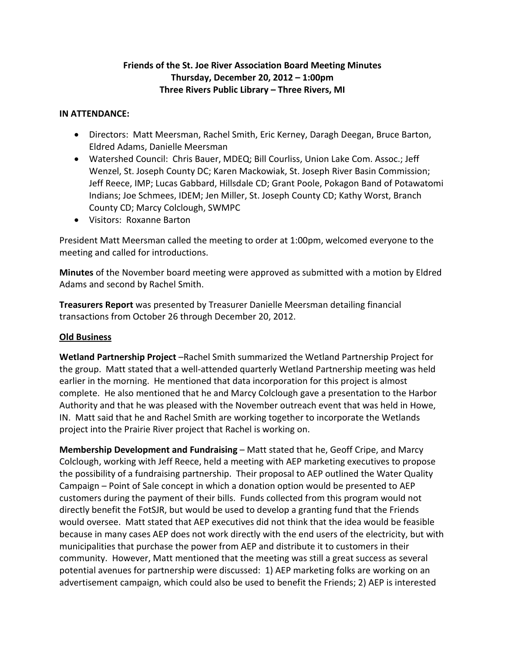# **Friends of the St. Joe River Association Board Meeting Minutes Thursday, December 20, 2012 – 1:00pm Three Rivers Public Library – Three Rivers, MI**

### **IN ATTENDANCE:**

- Directors: Matt Meersman, Rachel Smith, Eric Kerney, Daragh Deegan, Bruce Barton, Eldred Adams, Danielle Meersman
- Watershed Council: Chris Bauer, MDEQ; Bill Courliss, Union Lake Com. Assoc.; Jeff Wenzel, St. Joseph County DC; Karen Mackowiak, St. Joseph River Basin Commission; Jeff Reece, IMP; Lucas Gabbard, Hillsdale CD; Grant Poole, Pokagon Band of Potawatomi Indians; Joe Schmees, IDEM; Jen Miller, St. Joseph County CD; Kathy Worst, Branch County CD; Marcy Colclough, SWMPC
- Visitors: Roxanne Barton

President Matt Meersman called the meeting to order at 1:00pm, welcomed everyone to the meeting and called for introductions.

**Minutes** of the November board meeting were approved as submitted with a motion by Eldred Adams and second by Rachel Smith.

**Treasurers Report** was presented by Treasurer Danielle Meersman detailing financial transactions from October 26 through December 20, 2012.

# **Old Business**

**Wetland Partnership Project** –Rachel Smith summarized the Wetland Partnership Project for the group. Matt stated that a well-attended quarterly Wetland Partnership meeting was held earlier in the morning. He mentioned that data incorporation for this project is almost complete. He also mentioned that he and Marcy Colclough gave a presentation to the Harbor Authority and that he was pleased with the November outreach event that was held in Howe, IN. Matt said that he and Rachel Smith are working together to incorporate the Wetlands project into the Prairie River project that Rachel is working on.

**Membership Development and Fundraising** – Matt stated that he, Geoff Cripe, and Marcy Colclough, working with Jeff Reece, held a meeting with AEP marketing executives to propose the possibility of a fundraising partnership. Their proposal to AEP outlined the Water Quality Campaign – Point of Sale concept in which a donation option would be presented to AEP customers during the payment of their bills. Funds collected from this program would not directly benefit the FotSJR, but would be used to develop a granting fund that the Friends would oversee. Matt stated that AEP executives did not think that the idea would be feasible because in many cases AEP does not work directly with the end users of the electricity, but with municipalities that purchase the power from AEP and distribute it to customers in their community. However, Matt mentioned that the meeting was still a great success as several potential avenues for partnership were discussed: 1) AEP marketing folks are working on an advertisement campaign, which could also be used to benefit the Friends; 2) AEP is interested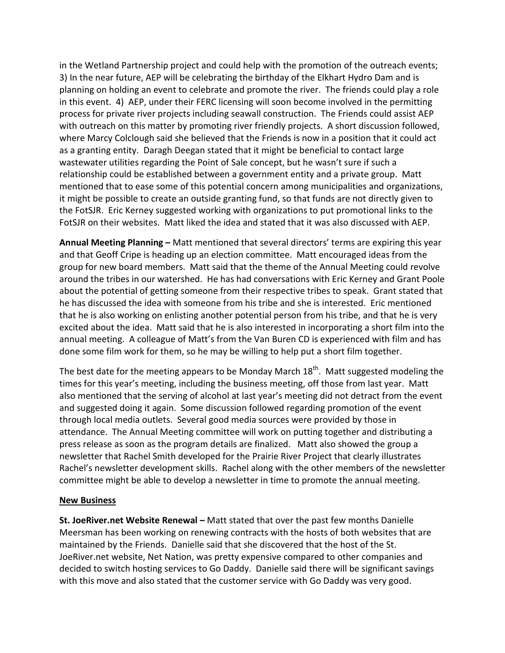in the Wetland Partnership project and could help with the promotion of the outreach events; 3) In the near future, AEP will be celebrating the birthday of the Elkhart Hydro Dam and is planning on holding an event to celebrate and promote the river. The friends could play a role in this event. 4) AEP, under their FERC licensing will soon become involved in the permitting process for private river projects including seawall construction. The Friends could assist AEP with outreach on this matter by promoting river friendly projects. A short discussion followed, where Marcy Colclough said she believed that the Friends is now in a position that it could act as a granting entity. Daragh Deegan stated that it might be beneficial to contact large wastewater utilities regarding the Point of Sale concept, but he wasn't sure if such a relationship could be established between a government entity and a private group. Matt mentioned that to ease some of this potential concern among municipalities and organizations, it might be possible to create an outside granting fund, so that funds are not directly given to the FotSJR. Eric Kerney suggested working with organizations to put promotional links to the FotSJR on their websites. Matt liked the idea and stated that it was also discussed with AEP.

**Annual Meeting Planning –** Matt mentioned that several directors' terms are expiring this year and that Geoff Cripe is heading up an election committee. Matt encouraged ideas from the group for new board members. Matt said that the theme of the Annual Meeting could revolve around the tribes in our watershed. He has had conversations with Eric Kerney and Grant Poole about the potential of getting someone from their respective tribes to speak. Grant stated that he has discussed the idea with someone from his tribe and she is interested. Eric mentioned that he is also working on enlisting another potential person from his tribe, and that he is very excited about the idea. Matt said that he is also interested in incorporating a short film into the annual meeting. A colleague of Matt's from the Van Buren CD is experienced with film and has done some film work for them, so he may be willing to help put a short film together.

The best date for the meeting appears to be Monday March  $18^{th}$ . Matt suggested modeling the times for this year's meeting, including the business meeting, off those from last year. Matt also mentioned that the serving of alcohol at last year's meeting did not detract from the event and suggested doing it again. Some discussion followed regarding promotion of the event through local media outlets. Several good media sources were provided by those in attendance. The Annual Meeting committee will work on putting together and distributing a press release as soon as the program details are finalized. Matt also showed the group a newsletter that Rachel Smith developed for the Prairie River Project that clearly illustrates Rachel's newsletter development skills. Rachel along with the other members of the newsletter committee might be able to develop a newsletter in time to promote the annual meeting.

### **New Business**

**St. JoeRiver.net Website Renewal –** Matt stated that over the past few months Danielle Meersman has been working on renewing contracts with the hosts of both websites that are maintained by the Friends. Danielle said that she discovered that the host of the St. JoeRiver.net website, Net Nation, was pretty expensive compared to other companies and decided to switch hosting services to Go Daddy. Danielle said there will be significant savings with this move and also stated that the customer service with Go Daddy was very good.